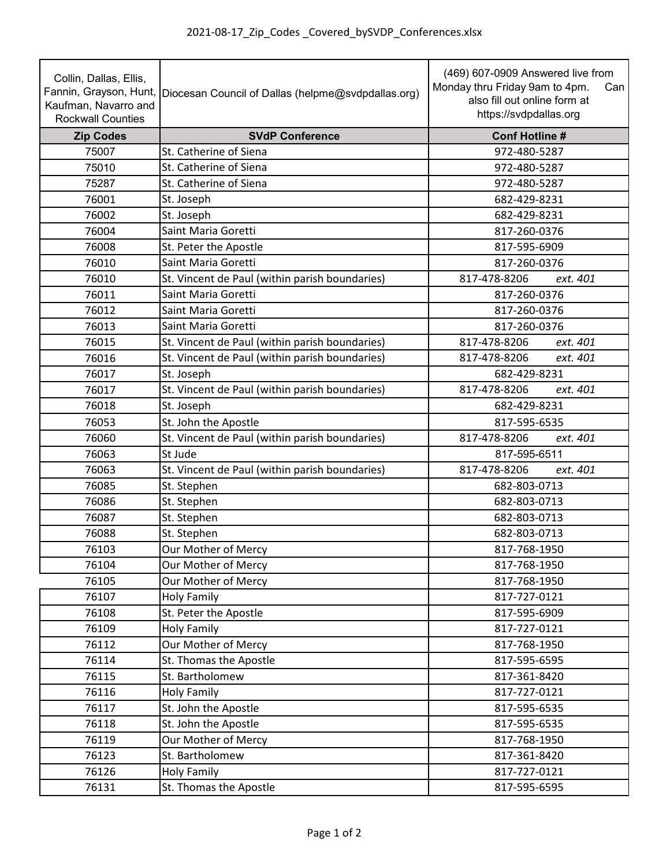| Collin, Dallas, Ellis,<br>Kaufman, Navarro and<br><b>Rockwall Counties</b> | Fannin, Grayson, Hunt, Diocesan Council of Dallas (helpme@svdpdallas.org) | (469) 607-0909 Answered live from<br>Monday thru Friday 9am to 4pm.<br>Can<br>also fill out online form at<br>https://svdpdallas.org |
|----------------------------------------------------------------------------|---------------------------------------------------------------------------|--------------------------------------------------------------------------------------------------------------------------------------|
| <b>Zip Codes</b>                                                           | <b>SVdP Conference</b>                                                    | <b>Conf Hotline#</b>                                                                                                                 |
| 75007                                                                      | St. Catherine of Siena                                                    | 972-480-5287                                                                                                                         |
| 75010                                                                      | St. Catherine of Siena                                                    | 972-480-5287                                                                                                                         |
| 75287                                                                      | St. Catherine of Siena                                                    | 972-480-5287                                                                                                                         |
| 76001                                                                      | St. Joseph                                                                | 682-429-8231                                                                                                                         |
| 76002                                                                      | St. Joseph                                                                | 682-429-8231                                                                                                                         |
| 76004                                                                      | Saint Maria Goretti                                                       | 817-260-0376                                                                                                                         |
| 76008                                                                      | St. Peter the Apostle                                                     | 817-595-6909                                                                                                                         |
| 76010                                                                      | Saint Maria Goretti                                                       | 817-260-0376                                                                                                                         |
| 76010                                                                      | St. Vincent de Paul (within parish boundaries)                            | 817-478-8206<br>ext. 401                                                                                                             |
| 76011                                                                      | Saint Maria Goretti                                                       | 817-260-0376                                                                                                                         |
| 76012                                                                      | Saint Maria Goretti                                                       | 817-260-0376                                                                                                                         |
| 76013                                                                      | Saint Maria Goretti                                                       | 817-260-0376                                                                                                                         |
| 76015                                                                      | St. Vincent de Paul (within parish boundaries)                            | 817-478-8206<br>ext. 401                                                                                                             |
| 76016                                                                      | St. Vincent de Paul (within parish boundaries)                            | 817-478-8206<br>ext. 401                                                                                                             |
| 76017                                                                      | St. Joseph                                                                | 682-429-8231                                                                                                                         |
| 76017                                                                      | St. Vincent de Paul (within parish boundaries)                            | 817-478-8206<br>ext. 401                                                                                                             |
| 76018                                                                      | St. Joseph                                                                | 682-429-8231                                                                                                                         |
| 76053                                                                      | St. John the Apostle                                                      | 817-595-6535                                                                                                                         |
| 76060                                                                      | St. Vincent de Paul (within parish boundaries)                            | ext. 401<br>817-478-8206                                                                                                             |
| 76063                                                                      | St Jude                                                                   | 817-595-6511                                                                                                                         |
| 76063                                                                      | St. Vincent de Paul (within parish boundaries)                            | 817-478-8206<br>ext. 401                                                                                                             |
| 76085                                                                      | St. Stephen                                                               | 682-803-0713                                                                                                                         |
| 76086                                                                      | St. Stephen                                                               | 682-803-0713                                                                                                                         |
| 76087                                                                      | St. Stephen                                                               | 682-803-0713                                                                                                                         |
| 76088                                                                      | St. Stephen                                                               | 682-803-0713                                                                                                                         |
| 76103                                                                      | Our Mother of Mercy                                                       | 817-768-1950                                                                                                                         |
| 76104                                                                      | Our Mother of Mercy                                                       | 817-768-1950                                                                                                                         |
| 76105                                                                      | Our Mother of Mercy                                                       | 817-768-1950                                                                                                                         |
| 76107                                                                      | <b>Holy Family</b>                                                        | 817-727-0121                                                                                                                         |
| 76108                                                                      | St. Peter the Apostle                                                     | 817-595-6909                                                                                                                         |
| 76109                                                                      | <b>Holy Family</b>                                                        | 817-727-0121                                                                                                                         |
| 76112                                                                      | Our Mother of Mercy                                                       | 817-768-1950                                                                                                                         |
| 76114                                                                      | St. Thomas the Apostle                                                    | 817-595-6595                                                                                                                         |
| 76115                                                                      | St. Bartholomew                                                           | 817-361-8420                                                                                                                         |
| 76116                                                                      | <b>Holy Family</b>                                                        | 817-727-0121                                                                                                                         |
| 76117                                                                      | St. John the Apostle                                                      | 817-595-6535                                                                                                                         |
| 76118                                                                      | St. John the Apostle                                                      | 817-595-6535                                                                                                                         |
| 76119                                                                      | Our Mother of Mercy                                                       | 817-768-1950                                                                                                                         |
| 76123                                                                      | St. Bartholomew                                                           | 817-361-8420                                                                                                                         |
| 76126                                                                      | <b>Holy Family</b>                                                        | 817-727-0121                                                                                                                         |
| 76131                                                                      | St. Thomas the Apostle                                                    | 817-595-6595                                                                                                                         |